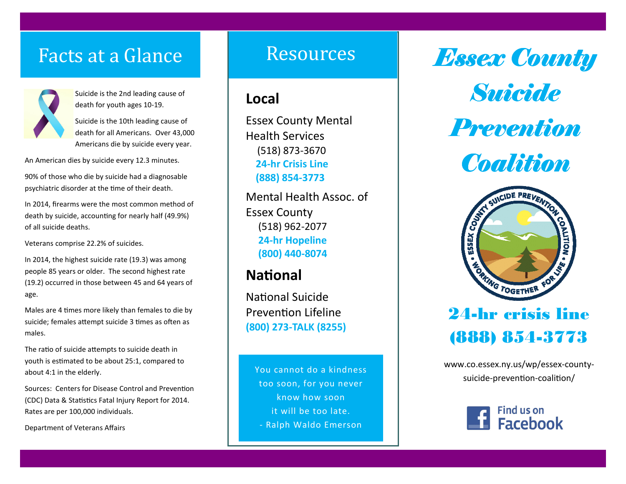## Facts at a Glance



Suicide is the 2nd leading cause of death for youth ages 10-19.

Suicide is the 10th leading cause of death for all Americans. Over 43,000 Americans die by suicide every year.

An American dies by suicide every 12.3 minutes.

90% of those who die by suicide had a diagnosable psychiatric disorder at the time of their death.

In 2014, firearms were the most common method of death by suicide, accounting for nearly half (49.9%) of all suicide deaths.

Veterans comprise 22.2% of suicides.

In 2014, the highest suicide rate (19.3) was among people 85 years or older. The second highest rate (19.2) occurred in those between 45 and 64 years ofage.

Males are 4 times more likely than females to die by suicide; females attempt suicide 3 times as often as males.

The ratio of suicide attempts to suicide death in youth is estimated to be about 25:1, compared to about 4:1 in the elderly.

Sources: Centers for Disease Control and Prevention (CDC) Data & Statistics Fatal Injury Report for 2014. Rates are per 100,000 individuals.

Department of Veterans Affairs

## Resources

#### **Local**

Essex County Mental Health Services (518) 873-3670 **24-hr Crisis Line (888) 854-3773**

Mental Health Assoc. of Essex County (518) 962-2077 **24-hr Hopeline (800) 440-8074**

### **National**

**National Suicide** Prevention Lifeline **(800) 273-TALK (8255)**

You cannot do a kindness too soon, for you never know how soon it will be too late. - Ralph Waldo Emerson

*Essex County* 

*Suicide* 

*Prevention* 

*Coalition*



## 24-hr crisis line (888) 854-3773

www.co.essex.ny.us/wp/essex-countysuicide-prevention-coalition/